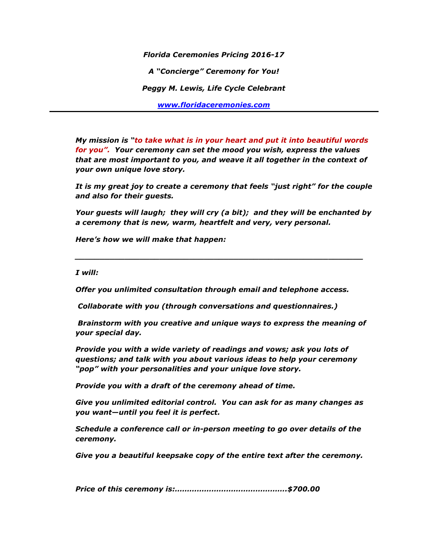*Florida Ceremonies Pricing 2016-17 A "Concierge" Ceremony for You! Peggy M. Lewis, Life Cycle Celebrant [www.floridaceremonies.com](http://www.floridaceremonies.com/)*

*My mission is "to take what is in your heart and put it into beautiful words for you". Your ceremony can set the mood you wish, express the values that are most important to you, and weave it all together in the context of your own unique love story.*

*It is my great joy to create a ceremony that feels "just right" for the couple and also for their guests.*

*Your guests will laugh; they will cry (a bit); and they will be enchanted by a ceremony that is new, warm, heartfelt and very, very personal.*

*\_\_\_\_\_\_\_\_\_\_\_\_\_\_\_\_\_\_\_\_\_\_\_\_\_\_\_\_\_\_\_\_\_\_\_\_\_\_\_\_\_\_\_\_\_\_\_\_\_\_\_\_\_\_\_\_\_\_*

*Here's how we will make that happen:*

*I will:* 

*Offer you unlimited consultation through email and telephone access.*

*Collaborate with you (through conversations and questionnaires.)* 

*Brainstorm with you creative and unique ways to express the meaning of your special day.*

*Provide you with a wide variety of readings and vows; ask you lots of questions; and talk with you about various ideas to help your ceremony "pop" with your personalities and your unique love story.*

*Provide you with a draft of the ceremony ahead of time.*

*Give you unlimited editorial control. You can ask for as many changes as you want—until you feel it is perfect.*

*Schedule a conference call or in-person meeting to go over details of the ceremony.*

*Give you a beautiful keepsake copy of the entire text after the ceremony.*

*Price of this ceremony is:……………………………………….\$700.00*